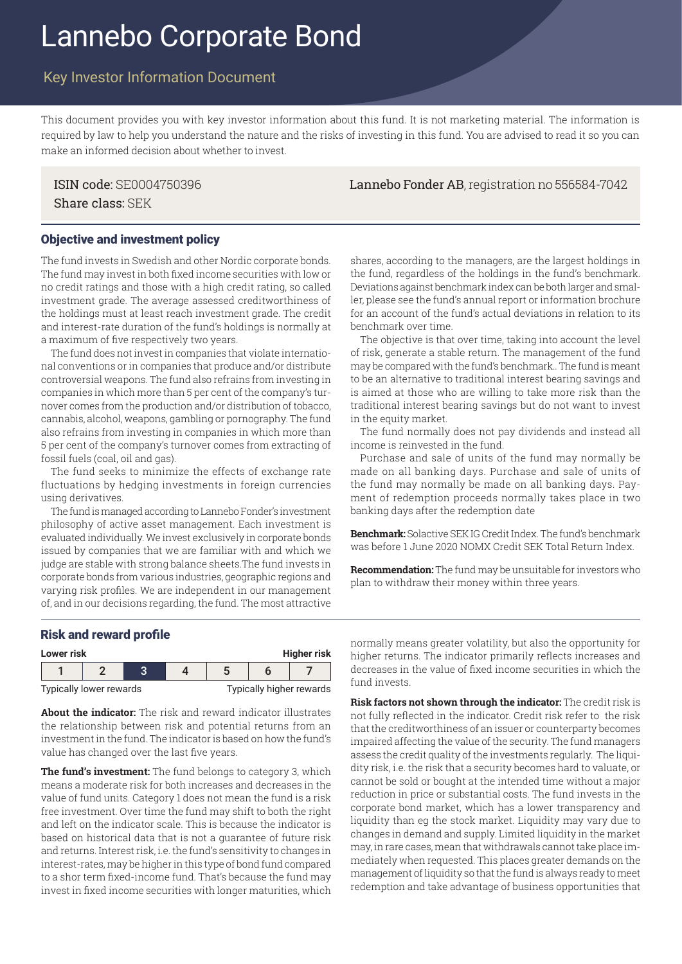# Lannebo Corporate Bond

# Key Investor Information Document

This document provides you with key investor information about this fund. It is not marketing material. The information is required by law to help you understand the nature and the risks of investing in this fund. You are advised to read it so you can make an informed decision about whether to invest.

ISIN code: SE0004750396 Lannebo Fonder AB, registration no 556584-7042 Share class: SEK

#### Objective and investment policy

The fund invests in Swedish and other Nordic corporate bonds. The fund may invest in both fixed income securities with low or no credit ratings and those with a high credit rating, so called investment grade. The average assessed creditworthiness of the holdings must at least reach investment grade. The credit and interest-rate duration of the fund's holdings is normally at a maximum of five respectively two years.

The fund does not invest in companies that violate international conventions or in companies that produce and/or distribute controversial weapons. The fund also refrains from investing in companies in which more than 5 per cent of the company's turnover comes from the production and/or distribution of tobacco, cannabis, alcohol, weapons, gambling or pornography. The fund also refrains from investing in companies in which more than 5 per cent of the company's turnover comes from extracting of fossil fuels (coal, oil and gas).

The fund seeks to minimize the effects of exchange rate fluctuations by hedging investments in foreign currencies using derivatives.

The fund is managed according to Lannebo Fonder's investment philosophy of active asset management. Each investment is evaluated individually. We invest exclusively in corporate bonds issued by companies that we are familiar with and which we judge are stable with strong balance sheets.The fund invests in corporate bonds from various industries, geographic regions and varying risk profiles. We are independent in our management of, and in our decisions regarding, the fund. The most attractive

shares, according to the managers, are the largest holdings in the fund, regardless of the holdings in the fund's benchmark. Deviations against benchmark index can be both larger and smaller, please see the fund's annual report or information brochure for an account of the fund's actual deviations in relation to its benchmark over time.

The objective is that over time, taking into account the level of risk, generate a stable return. The management of the fund may be compared with the fund's benchmark.. The fund is meant to be an alternative to traditional interest bearing savings and is aimed at those who are willing to take more risk than the traditional interest bearing savings but do not want to invest in the equity market.

The fund normally does not pay dividends and instead all income is reinvested in the fund.

Purchase and sale of units of the fund may normally be made on all banking days. Purchase and sale of units of the fund may normally be made on all banking days. Payment of redemption proceeds normally takes place in two banking days after the redemption date

**Benchmark:** Solactive SEK IG Credit Index. The fund's benchmark was before 1 June 2020 NOMX Credit SEK Total Return Index.

**Recommendation:** The fund may be unsuitable for investors who plan to withdraw their money within three years.

### Risk and reward profile

| <b>Higher risk</b><br>Lower risk |  |  |  |                          |  |  |
|----------------------------------|--|--|--|--------------------------|--|--|
|                                  |  |  |  |                          |  |  |
| Typically lower rewards          |  |  |  | Typically higher rewards |  |  |

**About the indicator:** The risk and reward indicator illustrates the relationship between risk and potential returns from an investment in the fund. The indicator is based on how the fund's value has changed over the last five years.

**The fund's investment:** The fund belongs to category 3, which means a moderate risk for both increases and decreases in the value of fund units. Category 1 does not mean the fund is a risk free investment. Over time the fund may shift to both the right and left on the indicator scale. This is because the indicator is based on historical data that is not a guarantee of future risk and returns. Interest risk, i.e. the fund's sensitivity to changes in interest-rates, may be higher in this type of bond fund compared to a shor term fixed-income fund. That's because the fund may invest in fixed income securities with longer maturities, which

normally means greater volatility, but also the opportunity for higher returns. The indicator primarily reflects increases and decreases in the value of fixed income securities in which the fund invests.

**Risk factors not shown through the indicator:** The credit risk is not fully reflected in the indicator. Credit risk refer to the risk that the creditworthiness of an issuer or counterparty becomes impaired affecting the value of the security. The fund managers assess the credit quality of the investments regularly. The liquidity risk, i.e. the risk that a security becomes hard to valuate, or cannot be sold or bought at the intended time without a major reduction in price or substantial costs. The fund invests in the corporate bond market, which has a lower transparency and liquidity than eg the stock market. Liquidity may vary due to changes in demand and supply. Limited liquidity in the market may, in rare cases, mean that withdrawals cannot take place immediately when requested. This places greater demands on the management of liquidity so that the fund is always ready to meet redemption and take advantage of business opportunities that